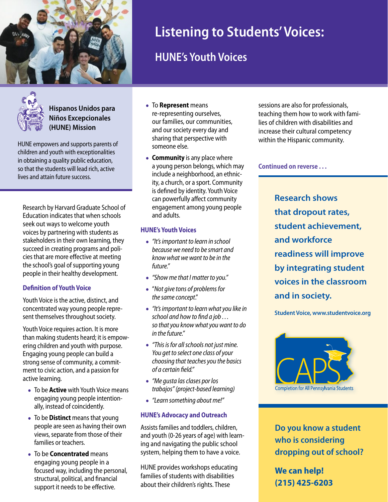



**Hispanos Unidos para Niños Excepcionales (HUNE) Mission**

HUNE empowers and supports parents of children and youth with exceptionalities in obtaining a quality public education, so that the students will lead rich, active lives and attain future success.

Research by Harvard Graduate School of Education indicates that when schools seek out ways to welcome youth voices by partnering with students as stakeholders in their own learning, they succeed in creating programs and policies that are more effective at meeting the school's goal of supporting young people in their healthy development.

### **Definition of Youth Voice**

Youth Voice is the active, distinct, and concentrated way young people represent themselves throughout society.

Youth Voice requires action. It is more than making students heard; it is empowering children and youth with purpose. Engaging young people can build a strong sense of community, a commitment to civic action, and a passion for active learning.

- To be **Active** with Youth Voice means engaging young people intentionally, instead of coincidently.
- To be **Distinct** means that young people are seen as having their own views, separate from those of their families or teachers.
- To be **Concentrated** means engaging young people in a focused way, including the personal, structural, political, and financial support it needs to be effective.
- To **Represent** means re-representing ourselves, our families, our communities, and our society every day and sharing that perspective with someone else.
- **Community** is any place where a young person belongs, which may include a neighborhood, an ethnicity, a church, or a sport. Community is defined by identity. Youth Voice can powerfully affect community engagement among young people and adults.

## **HUNE's Youth Voices**

- *• "It's important to learn in school because we need to be smart and know what we want to be in the future."*
- *• "Show me that I matter to you."*
- "*Not give tons of problems for the same concept*."
- *• "It's important to learn what you like in school and how to find a job . . . so that you know what you want to do in the future."*
- *• "This is for all schools not just mine. You get to select one class of your choosing that teaches you the basics of a certain field."*
- *• "Me gusta las clases por los trabajos" (project-based learning)*
- *• "Learn something about me!"*

## **HUNE's Advocacy and Outreach**

Assists families and toddlers, children, and youth (0-26 years of age) with learning and navigating the public school system, helping them to have a voice.

HUNE provides workshops educating families of students with disabilities about their children's rights. These

sessions are also for professionals, teaching them how to work with families of children with disabilities and increase their cultural competency within the Hispanic community.

**Continued on reverse . . .** 

**Research shows that dropout rates, student achievement, and workforce readiness will improve by integrating student voices in the classroom and in society.** 

**Student Voice, www.studentvoice.org**



**Do you know a student who is considering dropping out of school?**

**We can help! (215) 425-6203**

# **Listening to Students' Voices:**

# **HUNE's Youth Voices**